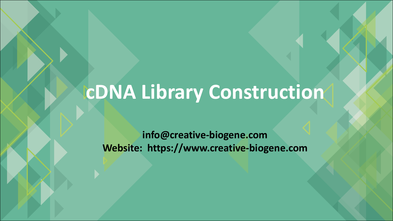## **cDNA Library Construction**

**info@creative-biogene.com Website: https://www.creative-biogene.com**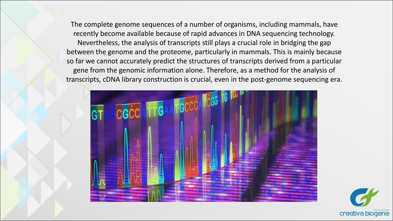The complete genome sequences of a number of organisms, including mammals, have recently become available because of rapid advances in DNA sequencing technology. Nevertheless, the analysis of transcripts still plays a crucial role in bridging the gap between the genome and the proteome, particularly in mammals. This is mainly because so far we cannot accurately predict the structures of transcripts derived from a particular gene from the genomic information alone. Therefore, as a method for the analysis of transcripts, cDNA library construction is crucial, even in the post-genome sequencing era.



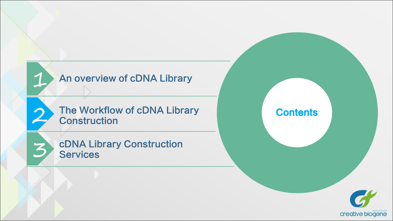

3

The Workflow of cDNA Library<br>
2 Construction<br>
2 Construction **Construction** 

cDNA Library Construction **Services** 

**Contents** 

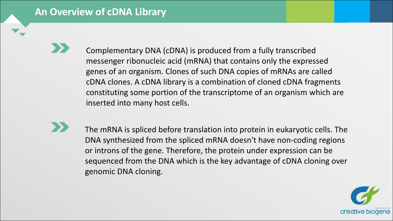#### **An Overview of cDNA Library**

Complementary DNA (cDNA) is produced from a fully transcribed messenger ribonucleic acid (mRNA) that contains only the expressed genes of an organism. Clones of such DNA copies of mRNAs are called cDNA clones. A cDNA library is a combination of cloned cDNA fragments constituting some portion of the transcriptome of an organism which are inserted into many host cells.

The mRNA is spliced before translation into protein in eukaryotic cells. The DNA synthesized from the spliced mRNA doesn't have non-coding regions or introns of the gene. Therefore, the protein under expression can be sequenced from the DNA which is the key advantage of cDNA cloning over genomic DNA cloning.

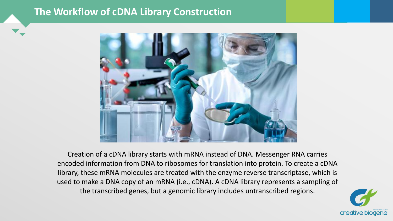#### **The Workflow of cDNA Library Construction**



Creation of a cDNA library starts with mRNA instead of DNA. Messenger RNA carries encoded information from DNA to ribosomes for translation into protein. To create a cDNA library, these mRNA molecules are treated with the enzyme reverse transcriptase, which is used to make a DNA copy of an mRNA (i.e., cDNA). A cDNA library represents a sampling of the transcribed genes, but a genomic library includes untranscribed regions.

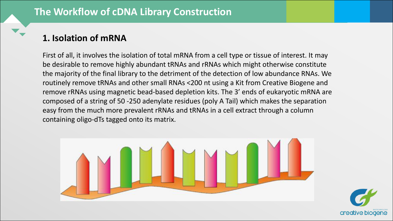### **1. Isolation of mRNA**

First of all, it involves the isolation of total mRNA from a cell type or tissue of interest. It may be desirable to remove highly abundant tRNAs and rRNAs which might otherwise constitute the majority of the final library to the detriment of the detection of low abundance RNAs. We routinely remove tRNAs and other small RNAs <200 nt using a Kit from Creative Biogene and remove rRNAs using magnetic bead-based depletion kits. The 3' ends of eukaryotic mRNA are composed of a string of 50 -250 adenylate residues (poly A Tail) which makes the separation easy from the much more prevalent rRNAs and tRNAs in a cell extract through a column containing oligo-dTs tagged onto its matrix.



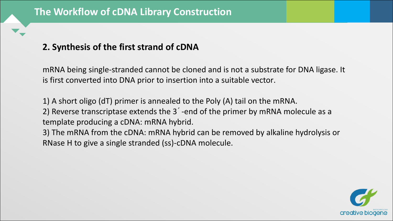#### **2. Synthesis of the first strand of cDNA**

mRNA being single-stranded cannot be cloned and is not a substrate for DNA ligase. It is first converted into DNA prior to insertion into a suitable vector.

1) A short oligo (dT) primer is annealed to the Poly (A) tail on the mRNA. 2) Reverse transcriptase extends the 3´-end of the primer by mRNA molecule as a template producing a cDNA: mRNA hybrid.

3) The mRNA from the cDNA: mRNA hybrid can be removed by alkaline hydrolysis or RNase H to give a single stranded (ss)-cDNA molecule.

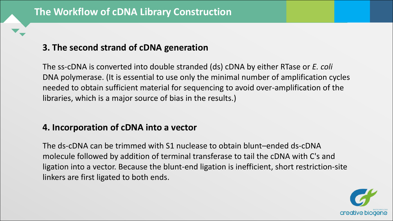#### **3. The second strand of cDNA generation**

The ss-cDNA is converted into double stranded (ds) cDNA by either RTase or *E. coli* DNA polymerase. (It is essential to use only the minimal number of amplification cycles needed to obtain sufficient material for sequencing to avoid over-amplification of the libraries, which is a major source of bias in the results.)

#### **4. Incorporation of cDNA into a vector**

The ds-cDNA can be trimmed with S1 nuclease to obtain blunt–ended ds-cDNA molecule followed by addition of terminal transferase to tail the cDNA with C's and ligation into a vector. Because the blunt-end ligation is inefficient, short restriction-site linkers are first ligated to both ends.

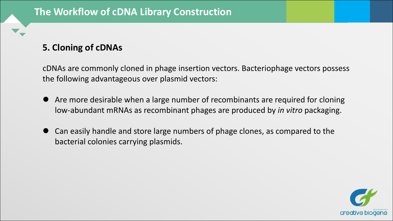#### **5. Cloning of cDNAs**

cDNAs are commonly cloned in phage insertion vectors. Bacteriophage vectors possess the following advantageous over plasmid vectors:

- l Are more desirable when a large number of recombinants are required for cloning low-abundant mRNAs as recombinant phages are produced by *in vitro* packaging.
- $\bullet$  Can easily handle and store large numbers of phage clones, as compared to the bacterial colonies carrying plasmids.

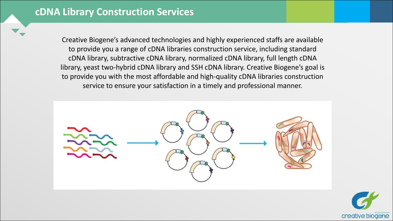Creative Biogene's advanced technologies and highly experienced staffs are available to provide you a range of cDNA libraries construction service, including standard cDNA library, subtractive cDNA library, normalized cDNA library, full length cDNA library, yeast two-hybrid cDNA library and SSH cDNA library. Creative Biogene's goal is to provide you with the most affordable and high-quality cDNA libraries construction service to ensure your satisfaction in a timely and professional manner.



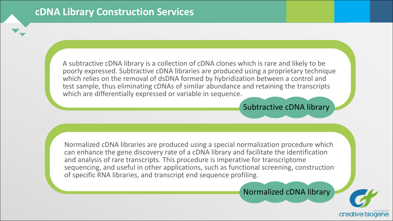A subtractive cDNA library is a collection of cDNA clones which is rare and likely to be poorly expressed. Subtractive cDNA libraries are produced using a proprietary technique which relies on the removal of dsDNA formed by hybridization between a control and test sample, thus eliminating cDNAs of similar abundance and retaining the transcripts which are differentially expressed or variable in sequence.

#### Subtractive cDNA library

Normalized cDNA libraries are produced using a special normalization procedure which can enhance the gene discovery rate of a cDNA library and facilitate the identification and analysis of rare transcripts. This procedure is imperative for transcriptome sequencing, and useful in other applications, such as functional screening, construction of specific RNA libraries, and transcript end sequence profiling.

Normalized cDNA library

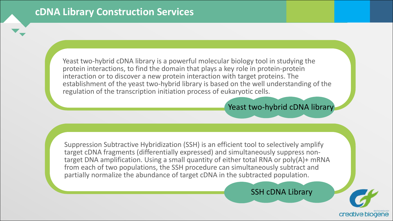Yeast two-hybrid cDNA library is a powerful molecular biology tool in studying the protein interactions, to find the domain that plays a key role in protein-protein interaction or to discover a new protein interaction with target proteins. The establishment of the yeast two-hybrid library is based on the well understanding of the regulation of the transcription initiation process of eukaryotic cells.

#### Yeast two-hybrid cDNA library

Suppression Subtractive Hybridization (SSH) is an efficient tool to selectively amplify target cDNA fragments (differentially expressed) and simultaneously suppress non-<br>target DNA amplification. Using a small quantity of either total RNA or poly(A)+ mRNA from each of two populations, the SSH procedure can simultaneously subtract and partially normalize the abundance of target cDNA in the subtracted population.

SSH cDNA Library

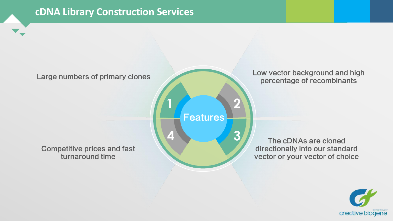**Features** 

#### Competitive prices and fast turnaround time

Large numbers of primary clones Low vector background and high percentage of recombinants

> **4 3** The cDNAs are cloned directionally into our standard vector or your vector of choice

**1 2**